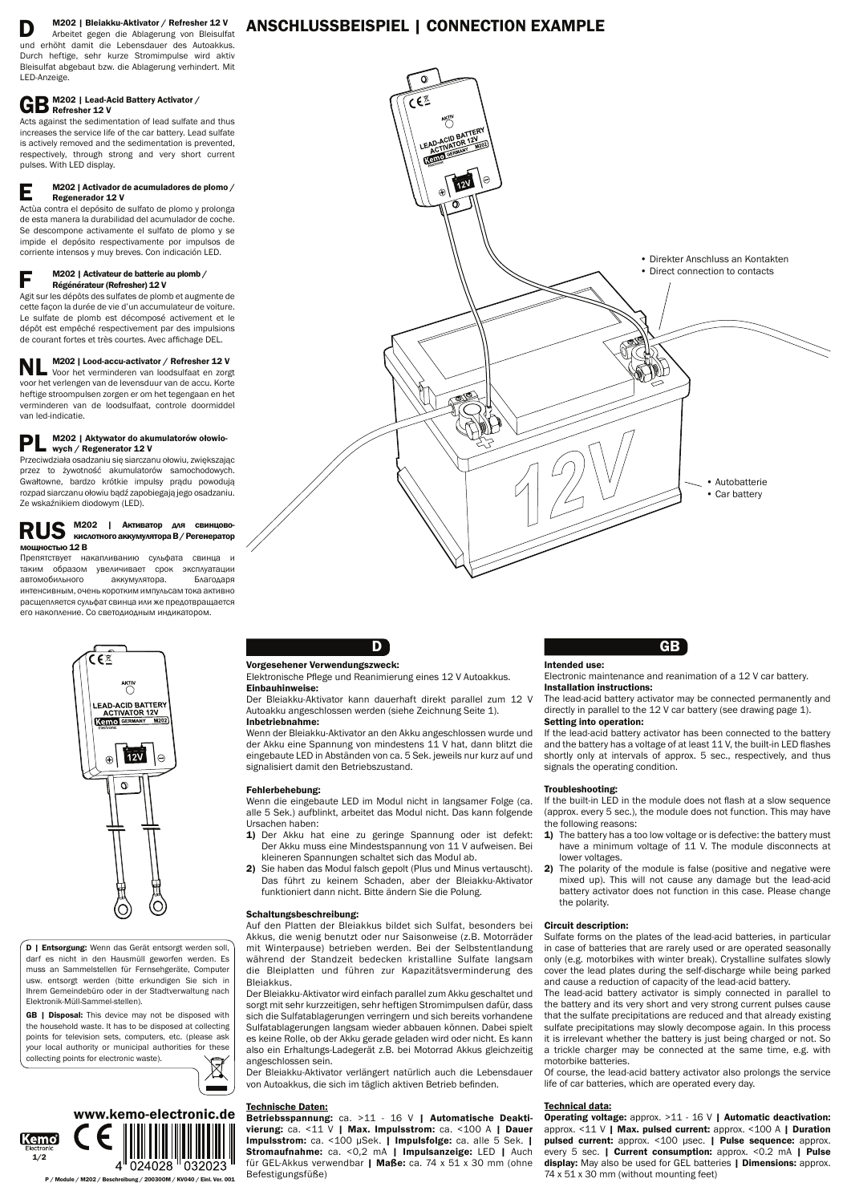D M202 | Bleiakku-Aktivator / Refresher 12 V Arbeitet gegen die Ablagerung von Bleisulfat und erhöht damit die Lebensdauer des Autoakkus. Durch heftige, sehr kurze Stromimpulse wird aktiv Bleisulfat abgebaut bzw. die Ablagerung verhindert. Mit LED-Anzeige.

# GB M202 | Lead-Acid Battery Activator /

## $\mathbf{E}$  M202 | Activador de acumuladores de plomo / Regenerador 12 V

Acts against the sedimentation of lead sulfate and thus increases the service life of the car battery. Lead sulfate is actively removed and the sedimentation is prevented, respectively, through strong and very short current pulses. With LED display.

## $\blacksquare$  M202 | Activateur de batterie au plomb /<br>Pégénérateur (Pefresher) 12 V Régénérateur (Refresher) 12 V

Actùa contra el depósito de sulfato de plomo y prolonga de esta manera la durabilidad del acumulador de coche. Se descompone activamente el sulfato de plomo y se impide el depósito respectivamente por impulsos de corriente intensos y muy breves. Con indicación LED.

## M202 | Aktywator do akumulatorów ołowiowych / Regenerator 12 V

## **S** M202 | Активатор для свинцово-<br>Кислотного аккумулятора В / Регенератор кислотногоаккумулятораB/Регенератор мощностью 12 В

Agit sur les dépôts des sulfates de plomb et augmente de cette façon la durée de vie d'un accumulateur de voiture. Le sulfate de plomb est décomposé activement et le dépôt est empêché respectivement par des impulsions de courant fortes et très courtes. Avec affichage DEL.

D | Entsorgung: Wenn das Gerät entsorgt werden soll, darf es nicht in den Hausmüll geworfen werden. Es muss an Sammelstellen für Fernsehgeräte, Computer usw. entsorgt werden (bitte erkundigen Sie sich in Ihrem Gemeindebüro oder in der Stadtverwaltung nach Elektronik-Müll-Sammel-stellen).

GB | Disposal: This device may not be disposed with the household waste. It has to be disposed at collecting points for television sets, computers, etc. (please ask your local authority or municipal authorities for these collecting points for electronic waste).



NL M202 | Lood-accu-activator / Refresher 12 V Voor het verminderen van loodsulfaat en zorgt voor het verlengen van de levensduur van de accu. Korte heftige stroompulsen zorgen er om het tegengaan en het verminderen van de loodsulfaat, controle doormiddel van led-indicatie.

Przeciwdziała osadzaniu się siarczanu ołowiu, zwiększając przez to żywotność akumulatorów samochodowych. Gwałtowne, bardzo krótkie impulsy prądu powodują rozpad siarczanu ołowiu bądź zapobiegają jego osadzaniu. Ze wskaźnikiem diodowym (LED).

Препятствует накапливанию сульфата свинца и таким образом увеличивает срок эксплуатации автомобильного аккумулятора. Благодаря интенсивным, очень коротким импульсам тока активно расщепляется сульфат свинца или же предотвращается его накопление. Со светодиодным индикатором.





P / Module / M202 / Beschreibung / 20030OM / KV040 / Einl. Ver. 001

## Anschlussbeispiel | Connection Example



## D

## Vorgesehener Verwendungszweck:

### Elektronische Pflege und Reanimierung eines 12 V Autoakkus. Einbauhinweise:

- 1) The battery has a too low voltage or is defective: the battery must have a minimum voltage of 11 V. The module disconnects at lower voltages.
- 2) The polarity of the module is false (positive and negative were mixed up). This will not cause any damage but the lead-acid battery activator does not function in this case. Please change the polarity.

Der Bleiakku-Aktivator kann dauerhaft direkt parallel zum 12 V Autoakku angeschlossen werden (siehe Zeichnung Seite 1). Inbetriebnahme:

Wenn der Bleiakku-Aktivator an den Akku angeschlossen wurde und der Akku eine Spannung von mindestens 11 V hat, dann blitzt die eingebaute LED in Abständen von ca. 5 Sek. jeweils nur kurz auf und signalisiert damit den Betriebszustand.

## Fehlerbehebung:

Wenn die eingebaute LED im Modul nicht in langsamer Folge (ca. alle 5 Sek.) aufblinkt, arbeitet das Modul nicht. Das kann folgende Ursachen haben:

- 1) Der Akku hat eine zu geringe Spannung oder ist defekt: Der Akku muss eine Mindestspannung von 11 V aufweisen. Bei kleineren Spannungen schaltet sich das Modul ab.
- 2) Sie haben das Modul falsch gepolt (Plus und Minus vertauscht). Das führt zu keinem Schaden, aber der Bleiakku-Aktivator funktioniert dann nicht. Bitte ändern Sie die Polung.

### Schaltungsbeschreibung:

Auf den Platten der Bleiakkus bildet sich Sulfat, besonders bei Akkus, die wenig benutzt oder nur Saisonweise (z.B. Motorräder mit Winterpause) betrieben werden. Bei der Selbstentlandung während der Standzeit bedecken kristalline Sulfate langsam die Bleiplatten und führen zur Kapazitätsverminderung des Bleiakkus.

Der Bleiakku-Aktivator wird einfach parallel zum Akku geschaltet und sorgt mit sehr kurzzeitigen, sehr heftigen Stromimpulsen dafür, dass sich die Sulfatablagerungen verringern und sich bereits vorhandene Sulfatablagerungen langsam wieder abbauen können. Dabei spielt es keine Rolle, ob der Akku gerade geladen wird oder nicht. Es kann also ein Erhaltungs-Ladegerät z.B. bei Motorrad Akkus gleichzeitig angeschlossen sein.

Der Bleiakku-Aktivator verlängert natürlich auch die Lebensdauer von Autoakkus, die sich im täglich aktiven Betrieb befinden.

#### Technische Daten:

Betriebsspannung: ca. >11 - 16 V | Automatische Deaktivierung: ca. <11 V | Max. Impulsstrom: ca. <100 A | Dauer Impulsstrom: ca. <100 µSek. | Impulsfolge: ca. alle 5 Sek. | Stromaufnahme: ca. < 0,2 mA | Impulsanzeige: LED | Auch für GEL-Akkus verwendbar | Maße: ca. 74 x 51 x 30 mm (ohne Befestigungsfüße)

## GB

## Intended use:

Electronic maintenance and reanimation of a 12 V car battery. Installation instructions:

The lead-acid battery activator may be connected permanently and directly in parallel to the 12 V car battery (see drawing page 1).

## Setting into operation:

If the lead-acid battery activator has been connected to the battery and the battery has a voltage of at least 11 V, the built-in LED flashes shortly only at intervals of approx. 5 sec., respectively, and thus signals the operating condition.

## Troubleshooting:

If the built-in LED in the module does not flash at a slow sequence (approx. every 5 sec.), the module does not function. This may have the following reasons:

#### Circuit description:

Sulfate forms on the plates of the lead-acid batteries, in particular in case of batteries that are rarely used or are operated seasonally only (e.g. motorbikes with winter break). Crystalline sulfates slowly cover the lead plates during the self-discharge while being parked and cause a reduction of capacity of the lead-acid battery.

The lead-acid battery activator is simply connected in parallel to the battery and its very short and very strong current pulses cause that the sulfate precipitations are reduced and that already existing sulfate precipitations may slowly decompose again. In this process it is irrelevant whether the battery is just being charged or not. So a trickle charger may be connected at the same time, e.g. with motorbike batteries.

Of course, the lead-acid battery activator also prolongs the service life of car batteries, which are operated every day.

#### Technical data:

Operating voltage: approx. >11 - 16 V | Automatic deactivation: approx.  $\leq$ 11 V | Max. pulsed current: approx.  $\leq$ 100 A | Duration pulsed current: approx. <100 µsec. | Pulse sequence: approx. every 5 sec. | Current consumption: approx. < 0.2 mA | Pulse display: May also be used for GEL batteries | Dimensions: approx. 74 x 51 x 30 mm (without mounting feet)